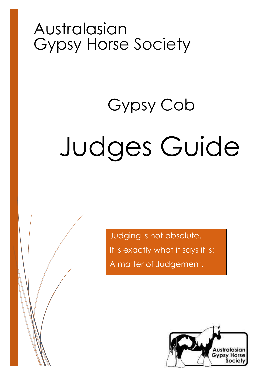## Australasian Gypsy Horse Society

# Judges Guide Gypsy Cob

Judging is not absolute. It is exactly what it says it is: A matter of Judgement.

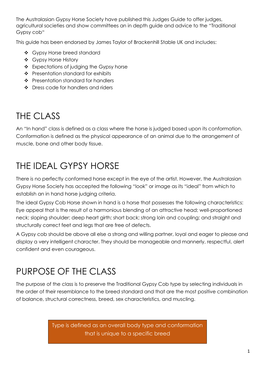The Australasian Gypsy Horse Society have published this Judges Guide to offer judges, agricultural societies and show committees an in depth guide and advice to the "Traditional Gypsy cob"

This guide has been endorsed by James Taylor of Brackenhill Stable UK and includes:

- ❖ Gypsy Horse breed standard
- ❖ Gypsy Horse History
- \* Expectations of judging the Gypsy horse
- Presentation standard for exhibits
- ❖ Presentation standard for handlers
- ❖ Dress code for handlers and riders

## THE CLASS

An "In hand" class is defined as a class where the horse is judged based upon its conformation. Conformation is defined as the physical appearance of an animal due to the arrangement of muscle, bone and other body tissue.

## THE IDEAL GYPSY HORSE

There is no perfectly conformed horse except in the eye of the artist. However, the Australasian Gypsy Horse Society has accepted the following "look" or image as its "ideal" from which to establish an in hand horse judging criteria.

The ideal Gypsy Cob Horse shown in hand is a horse that possesses the following characteristics: Eye appeal that is the result of a harmonious blending of an attractive head; well-proportioned neck; sloping shoulder; deep heart girth; short back; strong loin and coupling; and straight and structurally correct feet and legs that are free of defects.

A Gypsy cob should be above all else a strong and willing partner, loyal and eager to please and display a very intelligent character. They should be manageable and mannerly, respectful, alert confident and even courageous.

### PURPOSE OF THE CLASS

The purpose of the class is to preserve the Traditional Gypsy Cob type by selecting individuals in the order of their resemblance to the breed standard and that are the most positive combination of balance, structural correctness, breed, sex characteristics, and muscling.

> Type is defined as an overall body type and conformation that is unique to a specific breed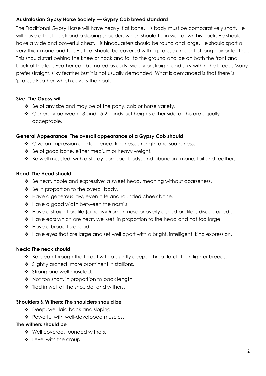#### **Australasian Gypsy Horse Society — Gypsy Cob breed standard**

The Traditional Gypsy Horse will have heavy, flat bone. His body must be comparatively short. He will have a thick neck and a sloping shoulder, which should tie in well down his back. He should have a wide and powerful chest. His hindquarters should be round and large. He should sport a very thick mane and tail. His feet should be covered with a profuse amount of long hair or feather. This should start behind the knee or hock and fall to the ground and be on both the front and back of the leg. Feather can be noted as curly, woolly or straight and silky within the breed. Many prefer straight, silky feather but it is not usually demanded. What is demanded is that there is 'profuse Feather' which covers the hoof.

#### **Size: The Gypsy will**

- $\cdot \cdot$  Be of any size and may be of the pony, cob or horse variety.
- Generally between 13 and 15.2 hands but heights either side of this are equally acceptable.

#### **General Appearance: The overall appearance of a Gypsy Cob should**

- Give an impression of intelligence, kindness, strength and soundness.
- ❖ Be of good bone, either medium or heavy weight.
- Be well muscled, with a sturdy compact body, and abundant mane, tail and feather.

#### **Head: The Head should**

- ◆ Be neat, noble and expressive; a sweet head, meaning without coarseness.
- $\div$  Be in proportion to the overall body.
- ◆ Have a generous jaw, even bite and rounded cheek bone.
- ❖ Have a good width between the nostrils.
- $\div$  Have a straight profile (a heavy Roman nose or overly dished profile is discouraged).
- ◆ Have ears which are neat, well-set, in proportion to the head and not too large.
- \* Have a broad forehead.
- \* Have eyes that are large and set well apart with a bright, intelligent, kind expression.

#### **Neck: The neck should**

- $\div$  Be clean through the throat with a slightly deeper throat latch than lighter breeds.
- Slightly arched, more prominent in stallions.
- Strong and well-muscled.
- Not too short, in proportion to back length.
- ❖ Tied in well at the shoulder and withers.

#### **Shoulders & Withers: The shoulders should be**

- \* Deep, well laid back and sloping.
- \* Powerful with well-developed muscles.

#### **The withers should be**

- ❖ Well covered, rounded withers.
- ❖ Level with the croup.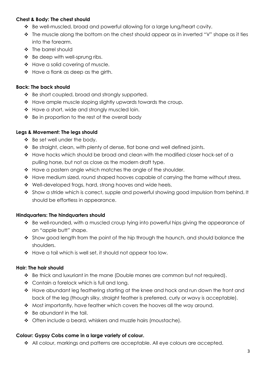#### **Chest & Body: The chest should**

- \* Be well-muscled, broad and powerful allowing for a large lung/heart cavity.
- \* The muscle along the bottom on the chest should appear as in inverted "V" shape as it ties into the forearm.
- ❖ The barrel should
- ❖ Be deep with well-sprung ribs.
- \* Have a solid covering of muscle.
- \* Have a flank as deep as the girth.

#### **Back: The back should**

- ❖ Be short coupled, broad and strongly supported.
- \* Have ample muscle sloping slightly upwards towards the croup.
- \* Have a short, wide and strongly muscled loin.
- $\div$  Be in proportion to the rest of the overall body

#### **Legs & Movement: The legs should**

- ❖ Be set well under the body.
- \* Be straight, clean, with plenty of dense, flat bone and well defined joints.
- Have hocks which should be broad and clean with the modified closer hock-set of a pulling horse, but not as close as the modern draft type.
- $\cdot$  Have a pastern angle which matches the angle of the shoulder.
- $\triangle$  Have medium sized, round shaped hooves capable of carrying the frame without stress.
- \* Well-developed frogs, hard, strong hooves and wide heels.
- Show a stride which is correct, supple and powerful showing good impulsion from behind. It should be effortless in appearance.

#### **Hindquarters: The hindquarters should**

- Be well-rounded, with a muscled croup tying into powerful hips giving the appearance of an "apple butt" shape.
- $\clubsuit$  Show good length from the point of the hip through the haunch, and should balance the shoulders.
- ◆ Have a tail which is well set, it should not appear too low.

#### **Hair: The hair should**

- Be thick and luxuriant in the mane (Double manes are common but not required).
- ❖ Contain a forelock which is full and long.
- \* Have abundant leg feathering starting at the knee and hock and run down the front and back of the leg (though silky, straight feather is preferred, curly or wavy is acceptable).
- $\cdot \cdot$  Most importantly, have feather which covers the hooves all the way around.
- $\div$  Be abundant in the tail.
- ◆ Often include a beard, whiskers and muzzle hairs (moustache).

#### **Colour: Gypsy Cobs come in a large variety of colour.**

◆ All colour, markings and patterns are acceptable. All eye colours are accepted.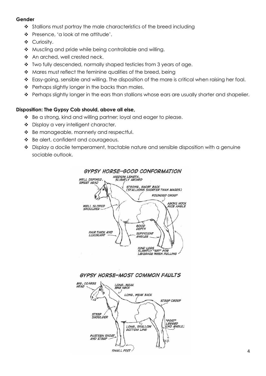#### **Gender**

- \* Stallions must portray the male characteristics of the breed including
- Presence, 'a look at me attitude'.
- ❖ Curiosity.
- ◆ Muscling and pride while being controllable and willing.
- ◆ An arched, well crested neck.
- Two fully descended, normally shaped testicles from 3 years of age.
- $\triangle$  Mares must reflect the feminine qualities of the breed, being
- \* Easy-going, sensible and willing. The disposition of the mare is critical when raising her foal.
- $\div$  Perhaps slightly longer in the backs than males.
- \* Perhaps slightly longer in the ears than stallions whose ears are usually shorter and shapelier.

#### **Disposition: The Gypsy Cob should, above all else,**

- Be a strong, kind and willing partner; loyal and eager to please.
- ◆ Display a very intelligent character.
- ◆ Be manageable, mannerly and respectful.
- ◆ Be alert, confident and courageous.
- $\cdot$  Display a docile temperament, tractable nature and sensible disposition with a genuine sociable outlook.





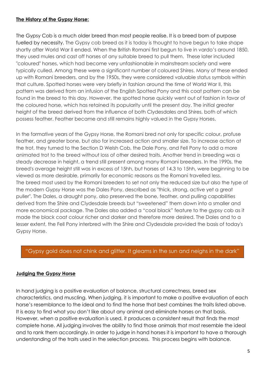#### **The History of the Gypsy Horse:**

The Gypsy Cob is a much older breed than most people realise. It is a breed born of purpose fuelled by necessity. The Gypsy cob breed as it is today is thought to have begun to take shape shortly after World War II ended. When the British Romani first begun to live in vardo's around 1850, they used mules and cast off horses of any suitable breed to pull them. These later included "coloured" horses, which had become very unfashionable in mainstream society and were typically culled. Among these were a significant number of coloured Shires. Many of these ended up with Romani breeders, and by the 1950s, they were considered valuable status symbols within that culture. Spotted horses were very briefly in fashion around the time of World War II, this pattern was derived from an infusion of the English Spotted Pony and this coat pattern can be found in the breed to this day. However, the spotted horse quickly went out of fashion in favor of the coloured horse, which has retained its popularity until the present day. The initial greater height of the breed derived from the influence of both Clydesdales and Shires, both of which possess feather. Feather became and still remains highly valued in the Gypsy Horses.

In the formative years of the Gypsy Horse, the Romani bred not only for specific colour, profuse feather, and greater bone, but also for increased action and smaller size. To increase action at the trot, they turned to the Section D Welsh Cob, the Dale Pony, and Fell Pony to add a more animated trot to the breed without loss of other desired traits. Another trend in breeding was a steady decrease in height, a trend still present among many Romani breeders. In the 1990s, the breed's average height still was in excess of 15hh, but horses of 14.3 to 15hh, were beginning to be viewed as more desirable, primarily for economic reasons as the Romani travelled less. The breed most used by the Romani breeders to set not only the reduced size but also the type of the modern Gypsy Horse was the Dales Pony, described as "thick, strong, active yet a great puller". The Dales, a draught pony, also preserved the bone, feather, and pulling capabilities derived from the Shire and Clydesdale breeds but "sweetened" them down into a smaller and more economical package. The Dales also added a "coal black" feature to the gypsy cob as it made the black coat colour richer and darker and therefore more desired. The Dales and to a lesser extent, the Fell Pony interbred with the Shire and Clydesdale provided the basis of today's Gypsy Horse.

#### "Gypsy gold does not chink and glitter. It gleams in the sun and neighs in the dark"

#### **Judging the Gypsy Horse**

In hand judging is a positive evaluation of balance, structural correctness, breed sex characteristics, and muscling. When judging, it is important to make a positive evaluation of each horse's resemblance to the ideal and to find the horse that best combines the traits listed above. It is easy to find what you don't like about any animal and eliminate horses on that basis. However, when a positive evaluation is used, it produces a consistent result that finds the most complete horse. All judging involves the ability to find those animals that most resemble the ideal and to rank them accordingly. In order to judge in hand horses it is important to have a thorough understanding of the traits used in the selection process. This process begins with balance.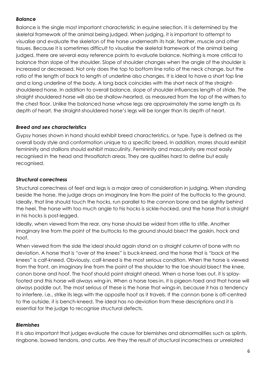#### *Balance*

Balance is the single most important characteristic in equine selection. It is determined by the skeletal framework of the animal being judged. When judging, it is important to attempt to visualise and evaluate the skeleton of the horse underneath its hair, feather, muscle and other tissues. Because it is sometimes difficult to visualise the skeletal framework of the animal being judged, there are several easy reference points to evaluate balance. Nothing is more critical to balance than slope of the shoulder. Slope of shoulder changes when the angle of the shoulder is increased or decreased. Not only does the top to bottom line ratio of the neck change, but the ratio of the length of back to length of underline also changes. It is ideal to have a short top line and a long underline of the body. A long back coincides with the short neck of the straightshouldered horse. In addition to overall balance, slope of shoulder influences length of stride. The straight shouldered horse will also be shallow-hearted, as measured from the top of the withers to the chest floor. Unlike the balanced horse whose legs are approximately the same length as its depth of heart, the straight-shouldered horse's legs will be longer than its depth of heart.

#### *Breed and sex characteristics*

Gypsy horses shown in hand should exhibit breed characteristics, or type. Type is defined as the overall body style and conformation unique to a specific breed. In addition, mares should exhibit femininity and stallions should exhibit masculinity. Femininity and masculinity are most easily recognised in the head and throatlatch areas. They are qualities hard to define but easily recognised.

#### *Structural correctness*

Structural correctness of feet and legs is a major area of consideration in judging. When standing beside the horse, the judge drops an imaginary line from the point of the buttocks to the ground. Ideally, that line should touch the hocks, run parallel to the cannon bone and be slightly behind the heel. The horse with too much angle to his hocks is sickle-hocked, and the horse that is straight in his hocks is post-legged.

Ideally, when viewed from the rear, any horse should be widest from stifle to stifle. Another imaginary line from the point of the buttocks to the ground should bisect the gaskin, hock and hoof.

When viewed from the side the ideal should again stand on a straight column of bone with no deviation. A horse that is "over at the knees" is buck-kneed, and the horse that is "back at the knees" is calf-kneed. Obviously, calf-kneed is the most serious condition. When the horse is viewed from the front, an imaginary line from the point of the shoulder to the toe should bisect the knee, canon bone and hoof. The hoof should point straight ahead. When a horse toes out, it is splayfooted and this horse will always wing-in. When a horse toes-in, it is pigeon-toed and that horse will always paddle out. The most serious of these is the horse that wings-in, because it has a tendency to interfere, i.e., strike its legs with the opposite hoof as it travels. If the cannon bone is off-centred to the outside, it is bench-kneed. The ideal has no deviation from these descriptions and it is essential for the judge to recognise structural defects.

#### *Blemishes*

It is also important that judges evaluate the cause for blemishes and abnormalities such as splints, ringbone, bowed tendons, and curbs. Are they the result of structural incorrectness or unrelated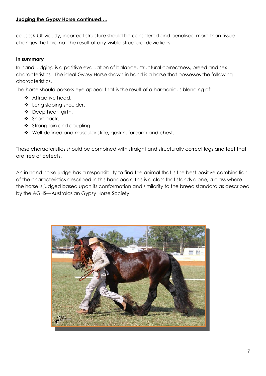#### **Judging the Gypsy Horse continued….**

causes? Obviously, incorrect structure should be considered and penalised more than tissue changes that are not the result of any visible structural deviations.

#### **In summary**

In hand judging is a positive evaluation of balance, structural correctness, breed and sex characteristics. The ideal Gypsy Horse shown in hand is a horse that possesses the following characteristics.

The horse should possess eye appeal that is the result of a harmonious blending of:

- ❖ Attractive head.
- ❖ Long sloping shoulder.
- ❖ Deep heart girth.
- ❖ Short back.
- Strong loin and coupling.
- ◆ Well-defined and muscular stifle, gaskin, forearm and chest.

These characteristics should be combined with straight and structurally correct legs and feet that are free of defects.

An in hand horse judge has a responsibility to find the animal that is the best positive combination of the characteristics described in this handbook. This is a class that stands alone, a class where the horse is judged based upon its conformation and similarity to the breed standard as described by the AGHS—Australasian Gypsy Horse Society.